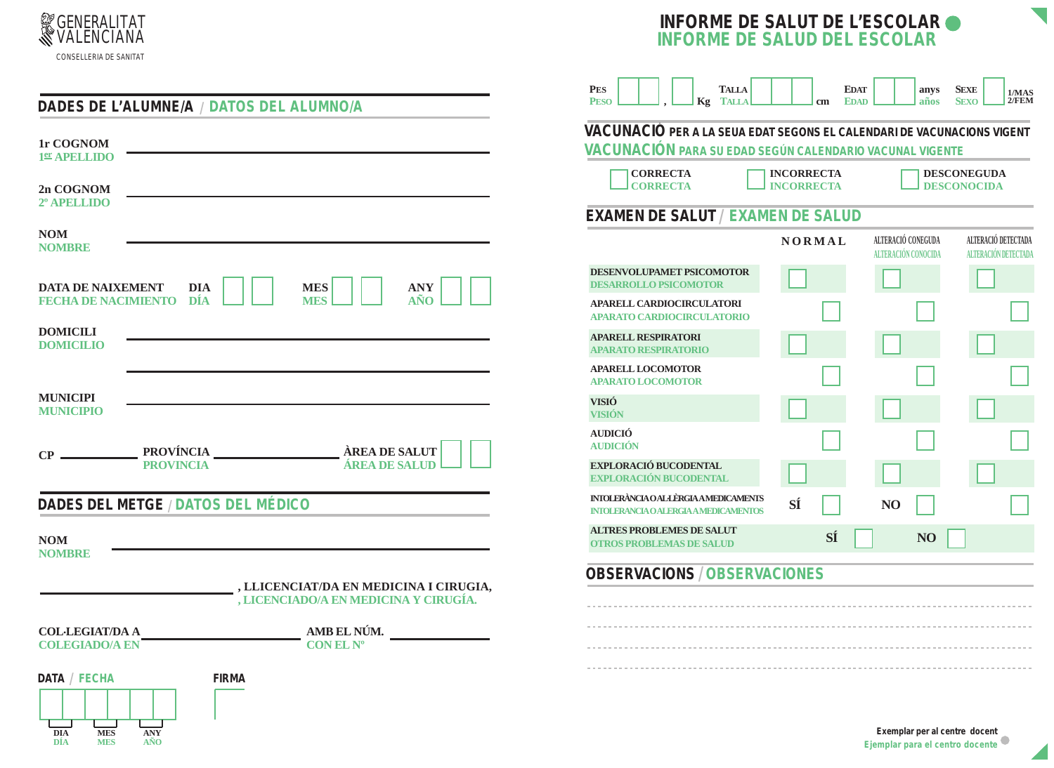



|                                                               |                                                                                                                             | <b>PES</b><br><b>PESO</b>                                                                        |
|---------------------------------------------------------------|-----------------------------------------------------------------------------------------------------------------------------|--------------------------------------------------------------------------------------------------|
|                                                               | DADES DE L'ALUMNE/A / DATOS DEL ALUMNO/A                                                                                    | <i>VACUNACIÓ F</i>                                                                               |
| 1r COGNOM<br>1 <sup>er</sup> APELLIDO                         |                                                                                                                             | VACUNACIÓN                                                                                       |
| 2n COGNOM<br>2 <sup>°</sup> APELLIDO                          |                                                                                                                             | <b>CORREC</b><br><b>CORREC</b>                                                                   |
| <b>NOM</b><br><b>NOMBRE</b>                                   |                                                                                                                             | EXAMEN DE S                                                                                      |
| <b>DATA DE NAIXEMENT</b>                                      | <b>DIA</b><br><b>MES</b><br><b>ANY</b><br>$\mathbf{A}\tilde{\mathbf{N}}\mathbf{O}$<br>FECHA DE NACIMIENTO DÍA<br><b>MES</b> | <b>DESENVOLUPAME</b><br><b>DESARROLLO PSIC</b><br><b>APARELL CARDIO</b><br><b>APARATO CARDIO</b> |
| <b>DOMICILI</b><br><b>DOMICILIO</b>                           |                                                                                                                             | <b>APARELL RESPIRA</b><br><b>APARATO RESPIRA</b>                                                 |
|                                                               |                                                                                                                             | <b>APARELL LOCOMO</b><br><b>APARATO LOCOMO</b>                                                   |
| <b>MUNICIPI</b><br><b>MUNICIPIO</b>                           |                                                                                                                             | <b>VISIÓ</b><br><b>VISIÓN</b>                                                                    |
| $CP -$                                                        | ÀREA DE SALUT<br>PROVÍNCIA                                                                                                  | <b>AUDICIÓ</b><br><b>AUDICIÓN</b>                                                                |
|                                                               | ÁREA DE SALUD<br><b>PROVINCIA</b>                                                                                           | <b>EXPLORACIÓ BUCO</b><br><b>EXPLORACIÓN BU</b>                                                  |
|                                                               | DADES DEL METGE / DATOS DEL MÉDICO                                                                                          | <b>INTOLERÀNCIAO ALLE</b><br><b>INIOLERANCIA O ALER</b>                                          |
| <b>NOM</b><br><b>NOMBRE</b>                                   |                                                                                                                             | <b>ALTRES PROBLEM</b><br><b>OTROS PROBLEMA</b>                                                   |
|                                                               | , LLICENCIAT/DA EN MEDICINA I CIRUGIA,<br>, LICENCIADO/A EN MEDICINA Y CIRUGÍA.                                             | OBSERVACIO                                                                                       |
|                                                               |                                                                                                                             | .                                                                                                |
| <b>COL·LEGIAT/DA A</b><br><b>COLEGIADO/A EN</b>               | AMB EL NÚM.<br>CONEL N <sup>o</sup>                                                                                         | .                                                                                                |
|                                                               |                                                                                                                             | ----------------                                                                                 |
| DATA / FECHA<br><b>MES</b><br><b>DIA</b><br>DIA<br><b>MES</b> | FIRMA<br><b>ANY</b><br>ANO                                                                                                  |                                                                                                  |

| <b>TALLA</b><br>ES<br>Kg<br><b>TALLA</b><br><b>ESO</b>                                                                              | <b>EDAT</b><br><b>EDAD</b><br>cm | anys<br>años                              | <b>SEXE</b><br>1/MAS<br>2/FEM<br><b>SEXO</b> |  |  |
|-------------------------------------------------------------------------------------------------------------------------------------|----------------------------------|-------------------------------------------|----------------------------------------------|--|--|
| A CUNACIÓ PER A LA SEUA EDAT SEGONS EL CALENDARI DE VACUNACIONS VIGENT<br>A CUNA CIÓN para su edad según calendario vacunal vigente |                                  |                                           |                                              |  |  |
| <b>CORRECTA</b><br><b>INCORRECTA</b><br><b>DESCONEGUDA</b><br><b>CORRECTA</b><br><b>INCORRECTA</b><br><b>DESCONOCIDA</b>            |                                  |                                           |                                              |  |  |
| <i>XAMEN DE SALUT / EXAMEN DE SALUD</i>                                                                                             |                                  |                                           |                                              |  |  |
|                                                                                                                                     | <b>NORMAL</b>                    | ALTERACIÓ CONEGUDA<br>ALTERACIÓN CONOCIDA | ALTERACIÓ DETECTADA<br>ALTERACIÓN DETECTADA  |  |  |
| <b>ESENVOLUPAMET PSICOMOTOR</b><br><b>ESARROLLO PSICOMOTOR</b>                                                                      |                                  |                                           |                                              |  |  |
| PARELL CARDIOCIRCULATORI<br><b>PARATO CARDIOCIRCULATORIO</b>                                                                        |                                  |                                           |                                              |  |  |
| <b>PARELL RESPIRATORI</b><br><b>PARATO RESPIRATORIO</b>                                                                             |                                  |                                           |                                              |  |  |
| <b>PARELL LOCOMOTOR</b><br><b>PARATO LOCOMOTOR</b>                                                                                  |                                  |                                           |                                              |  |  |
| ISIÓ<br><b>ISIÓN</b>                                                                                                                |                                  |                                           |                                              |  |  |
| UDICIÓ<br><b>UDICIÓN</b>                                                                                                            |                                  |                                           |                                              |  |  |
| XPLORACIÓ BUCODENTAL<br><b>XPLORACIÓN BUCODENTAL</b>                                                                                |                                  |                                           |                                              |  |  |
| <b>NTOLERÀNCIA O AL·LÈRGIA A MEDICAMENTS</b><br><b>NTOLERANCIA O ALERGIA A MEDICAMENTOS</b>                                         | SÍ                               | N <sub>O</sub>                            |                                              |  |  |
| <b>LTRES PROBLEMES DE SALUT</b><br><b>TROS PROBLEMAS DE SALUD</b>                                                                   | SÍ                               | N <sub>O</sub>                            |                                              |  |  |

## **CIONS / OBSERVACIONES**

Exemplar per al centre docent Ejemplar para el centro docente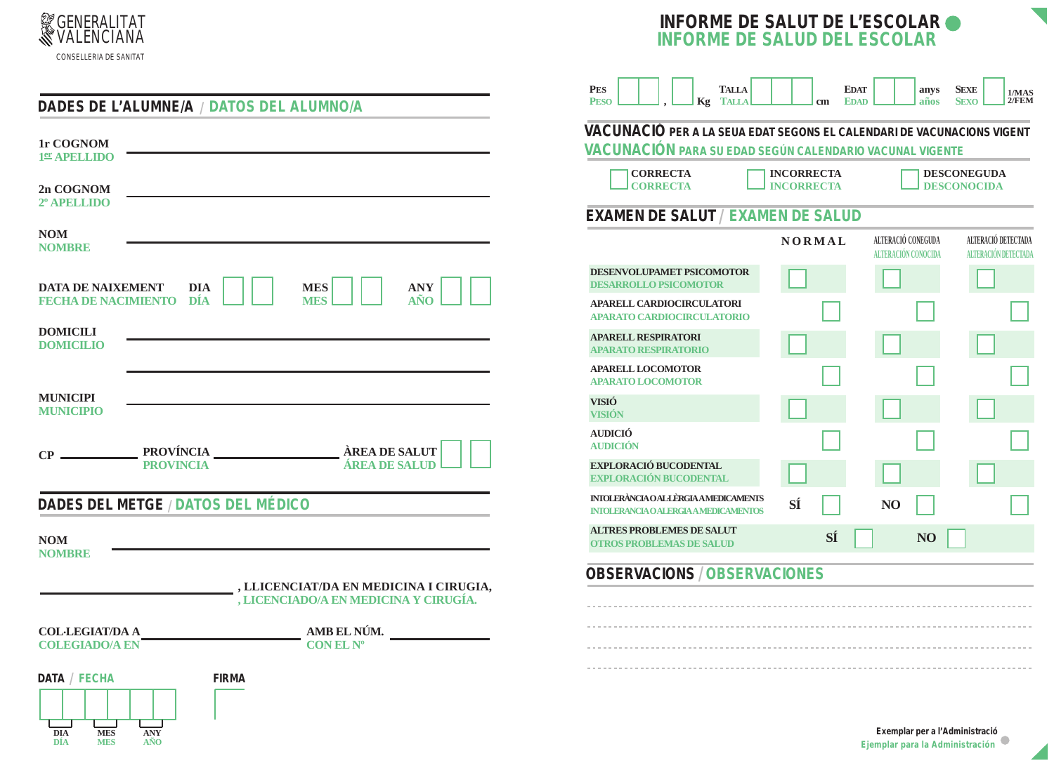



|                                                                      |                                          |                                                                                 |                        | <b>PES</b><br><b>PESO</b>                                                                |
|----------------------------------------------------------------------|------------------------------------------|---------------------------------------------------------------------------------|------------------------|------------------------------------------------------------------------------------------|
|                                                                      | DADES DE L'ALUMNE/A / DATOS DEL ALUMNO/A |                                                                                 |                        |                                                                                          |
| 1r COGNOM<br>1er APELLIDO                                            |                                          |                                                                                 |                        | VACUNACIO<br>VACUNACIO                                                                   |
| 2n COGNOM<br>2º APELLIDO                                             |                                          |                                                                                 |                        | <b>CORRI</b><br><b>CORRI</b>                                                             |
| <b>NOM</b>                                                           |                                          |                                                                                 |                        | <b>EXAMEN DE</b>                                                                         |
| <b>NOMBRE</b><br>DATA DE NAIXEMENT<br><b>FECHA DE NACIMIENTO DÍA</b> | <b>DIA</b>                               | <b>MES</b><br><b>MES</b>                                                        | ANY<br>$\widehat{ANO}$ | <b>DESENVOLUPAN</b><br><b>DESARROLLO P</b><br><b>APARELL CARD</b><br><b>APARATO CARD</b> |
| <b>DOMICILI</b><br><b>DOMICILIO</b>                                  |                                          |                                                                                 |                        | <b>APARELL RESPI</b><br><b>APARATO RESPI</b>                                             |
|                                                                      |                                          |                                                                                 |                        | <b>APARELL LOCO</b><br><b>APARATO LOCO</b>                                               |
| <b>MUNICIPI</b><br><b>MUNICIPIO</b>                                  |                                          |                                                                                 |                        | <b>VISIÓ</b><br><b>VISIÓN</b>                                                            |
| $CP =$                                                               |                                          | PROVÍNCIA <b>AREA DE SALUT</b>                                                  |                        | <b>AUDICIÓ</b><br><b>AUDICIÓN</b>                                                        |
|                                                                      | <b>PROVINCIA</b>                         |                                                                                 | <b>ÁREA DE SALUD</b>   | <b>EXPLORACIÓ BU</b><br><b>EXPLORACIÓN</b>                                               |
|                                                                      | DADES DEL METGE / DATOS DEL MÉDICO       |                                                                                 |                        | <b>INIOLERÀNCIAOAI</b><br><b>INTOLERANCIAOAI</b>                                         |
| <b>NOM</b><br><b>NOMBRE</b>                                          |                                          |                                                                                 |                        | <b>ALTRES PROBLI</b><br><b>OTROS PROBLE</b>                                              |
|                                                                      |                                          | , LLICENCIAT/DA EN MEDICINA I CIRUGIA,<br>, LICENCIADO/A EN MEDICINA Y CIRUGÍA. |                        | OBSERVAC                                                                                 |
|                                                                      |                                          |                                                                                 |                        | .                                                                                        |
| <b>COL·LEGIAT/DA A</b><br><b>COLEGIADO/A EN</b>                      |                                          | AMB EL NÚM.<br>CONEL N <sup>o</sup>                                             |                        | .                                                                                        |
| DATA / FECHA                                                         | FIRMA                                    |                                                                                 |                        | ---------------                                                                          |
| <b>DIA</b><br><b>MES</b><br><b>DIA</b><br><b>MES</b>                 | <b>ANY</b><br>AÑO                        |                                                                                 |                        |                                                                                          |

| <b>TALLA</b><br>ES<br><b>TALLA</b><br>Kg<br><b>ESO</b>                                                                              | <b>EDAT</b><br><b>EDAD</b><br>cm | anys<br>años                              | <b>SEXE</b><br>1/MAS<br>2/FEM<br><b>SEXO</b> |  |
|-------------------------------------------------------------------------------------------------------------------------------------|----------------------------------|-------------------------------------------|----------------------------------------------|--|
| A CUNACIÓ PER A LA SEUA EDAT SEGONS EL CALENDARI DE VACUNACIONS VIGENT<br>A CUNA CIÓN para su edad según calendario vacunal vigente |                                  |                                           |                                              |  |
| <b>CORRECTA</b><br><b>INCORRECTA</b><br><b>DESCONEGUDA</b><br><b>CORRECTA</b><br><b>INCORRECTA</b><br><b>DESCONOCIDA</b>            |                                  |                                           |                                              |  |
| <i>XAMEN DE SALUT / EXAMEN DE SALUD</i>                                                                                             |                                  |                                           |                                              |  |
|                                                                                                                                     | <b>NORMAL</b>                    | ALTERACIÓ CONEGUDA<br>ALTERACIÓN CONOCIDA | ALTERACIÓ DETECTADA<br>ALTERACIÓN DETECTADA  |  |
| <b>ESENVOLUPAMET PSICOMOTOR</b><br><b>ESARROLLO PSICOMOTOR</b>                                                                      |                                  |                                           |                                              |  |
| PARELL CARDIOCIRCULATORI<br><b>PARATO CARDIOCIRCULATORIO</b>                                                                        |                                  |                                           |                                              |  |
| <b>PARELL RESPIRATORI</b><br><b>PARATO RESPIRATORIO</b>                                                                             |                                  |                                           |                                              |  |
| <b>PARELL LOCOMOTOR</b><br><b>PARATO LOCOMOTOR</b>                                                                                  |                                  |                                           |                                              |  |
| ISIÓ<br>TSIÓN                                                                                                                       |                                  |                                           |                                              |  |
| UDICIÓ<br>UDICIÓN                                                                                                                   |                                  |                                           |                                              |  |
| XPLORACIÓ BUCODENTAL<br>XPLORACIÓN BUCODENTAL                                                                                       |                                  |                                           |                                              |  |
| VIOLERÀNCIA O AL·LÈRGIA A MEDICAMENTS<br><b>NTOLERANCIA O ALERGIA A MEDICAMENTOS</b>                                                | SÍ                               | N <sub>O</sub>                            |                                              |  |
| <b>LTRES PROBLEMES DE SALUT</b><br><b>TROS PROBLEMAS DE SALUD</b>                                                                   | SÍ                               | N <sub>O</sub>                            |                                              |  |
|                                                                                                                                     |                                  |                                           |                                              |  |

## **CIONS / OBSERVACIONES**

Exemplar per a l'Administració<br>Ejemplar para la Administración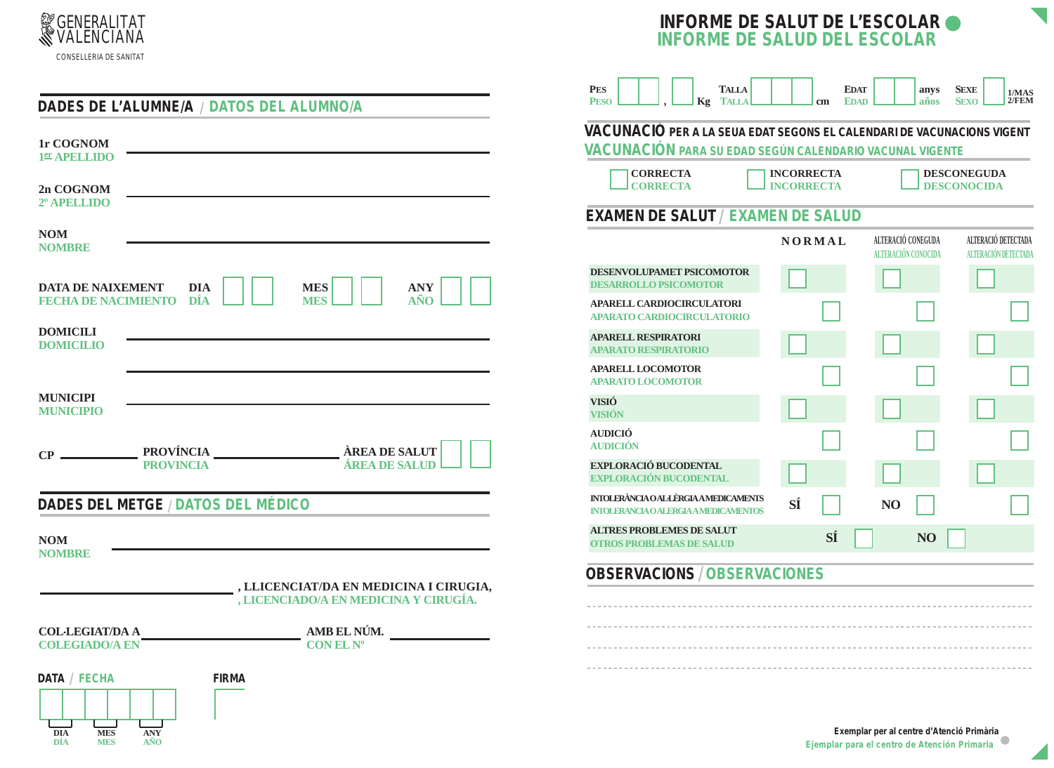

DÍA

**MES** 

AÑO



| DADES DE L'ALUMNE/A / DATOS DEL ALUMNO/A        |            |                                         | PES.<br><b>PESO</b>                        |
|-------------------------------------------------|------------|-----------------------------------------|--------------------------------------------|
| 1r COGNOM<br>1er APELLIDO                       |            |                                         | VACUNA<br><b>VACUNA</b>                    |
| 2n COGNOM<br>2º APELLIDO                        |            |                                         | $_{\rm CO}$<br>l co                        |
| <b>NOM</b><br><b>NOMBRE</b>                     |            |                                         | EXAMEN                                     |
| <b>DATA DE NAIXEMENT</b>                        | <b>DIA</b> | <b>MES</b><br><b>ANY</b>                | <b>DESENVOLU</b><br><b>DESARROLL</b>       |
| <b>FECHA DE NACIMIENTO DÍA</b>                  |            | <b>MES</b><br>AÑO.                      | <b>APARELL CA</b><br><b>APARATO CA</b>     |
| <b>DOMICILI</b><br><b>DOMICILIO</b>             |            |                                         | <b>APARELL RE</b><br><b>APARATORI</b>      |
|                                                 |            |                                         | <b>APARELL LO</b><br><b>APARATOLO</b>      |
| <b>MUNICIPI</b><br><b>MUNICIPIO</b>             |            |                                         | <b>VISIÓ</b><br><b>VISIÓN</b>              |
|                                                 |            |                                         | <b>AUDICIÓ</b><br><b>AUDICIÓN</b>          |
| $CP \_$<br><b>PROVINCIA</b>                     |            | ÀREA DE SALUT<br>ÁREA DE SALUD          | <b>EXPLORACI</b><br><b>EXPLORACI</b>       |
| DADES DEL METGE / DATOS DEL MÉDICO              |            |                                         | <b>INIOLERÀNCIA</b><br><b>INTOLERANCIA</b> |
| <b>NOM</b><br><b>NOMBRE</b>                     |            |                                         | <b>ALTRES PRC</b><br><b>OTROS PROJ</b>     |
|                                                 |            | _, LLICENCIAT/DA EN MEDICINA I CIRUGIA, | OBSERV                                     |
|                                                 |            | , LICENCIADO/A EN MEDICINA Y CIRUGÍA.   |                                            |
| <b>COL·LEGIAT/DA A</b>                          |            | AMB EL NÚM.                             | .                                          |
| <b>COLEGIADO/A EN</b>                           |            | CONEL N <sup>o</sup>                    | .                                          |
| DATA / FECHA<br><b>MES</b><br><b>DIA</b><br>ANY | FIRMA      |                                         | .                                          |



ACIONS / OBSERVACIONES

Exemplar per al centre d'Atenció Primària Ejemplar para el centro de Atención Primaria